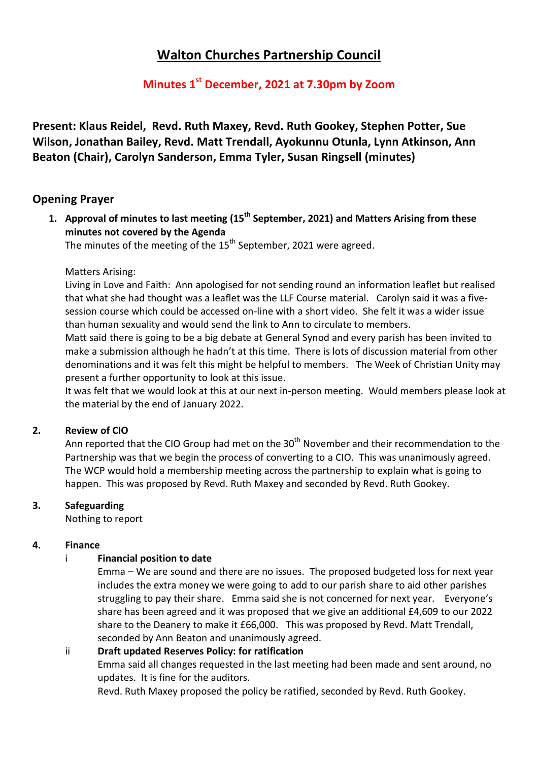# **Walton Churches Partnership Council**

# **Minutes 1 st December, 2021 at 7.30pm by Zoom**

**Present: Klaus Reidel, Revd. Ruth Maxey, Revd. Ruth Gookey, Stephen Potter, Sue Wilson, Jonathan Bailey, Revd. Matt Trendall, Ayokunnu Otunla, Lynn Atkinson, Ann Beaton (Chair), Carolyn Sanderson, Emma Tyler, Susan Ringsell (minutes)**

# **Opening Prayer**

**1. Approval of minutes to last meeting (15 th September, 2021) and Matters Arising from these minutes not covered by the Agenda**

The minutes of the meeting of the  $15<sup>th</sup>$  September, 2021 were agreed.

Matters Arising:

Living in Love and Faith: Ann apologised for not sending round an information leaflet but realised that what she had thought was a leaflet was the LLF Course material. Carolyn said it was a fivesession course which could be accessed on-line with a short video. She felt it was a wider issue than human sexuality and would send the link to Ann to circulate to members.

Matt said there is going to be a big debate at General Synod and every parish has been invited to make a submission although he hadn't at this time. There is lots of discussion material from other denominations and it was felt this might be helpful to members. The Week of Christian Unity may present a further opportunity to look at this issue.

It was felt that we would look at this at our next in-person meeting. Would members please look at the material by the end of January 2022.

# **2. Review of CIO**

Ann reported that the CIO Group had met on the  $30<sup>th</sup>$  November and their recommendation to the Partnership was that we begin the process of converting to a CIO. This was unanimously agreed. The WCP would hold a membership meeting across the partnership to explain what is going to happen. This was proposed by Revd. Ruth Maxey and seconded by Revd. Ruth Gookey.

# **3. Safeguarding**

Nothing to report

# **4. Finance**

# i **Financial position to date**

Emma – We are sound and there are no issues. The proposed budgeted loss for next year includes the extra money we were going to add to our parish share to aid other parishes struggling to pay their share. Emma said she is not concerned for next year. Everyone's share has been agreed and it was proposed that we give an additional £4,609 to our 2022 share to the Deanery to make it £66,000. This was proposed by Revd. Matt Trendall, seconded by Ann Beaton and unanimously agreed.

ii **Draft updated Reserves Policy: for ratification**  Emma said all changes requested in the last meeting had been made and sent around, no updates. It is fine for the auditors.

Revd. Ruth Maxey proposed the policy be ratified, seconded by Revd. Ruth Gookey.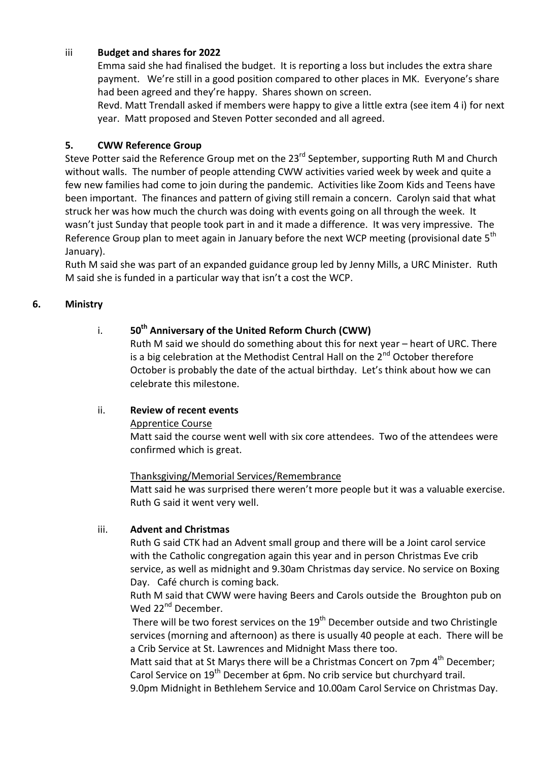#### iii **Budget and shares for 2022**

Emma said she had finalised the budget. It is reporting a loss but includes the extra share payment. We're still in a good position compared to other places in MK. Everyone's share had been agreed and they're happy. Shares shown on screen.

Revd. Matt Trendall asked if members were happy to give a little extra (see item 4 i) for next year. Matt proposed and Steven Potter seconded and all agreed.

#### **5. CWW Reference Group**

Steve Potter said the Reference Group met on the 23<sup>rd</sup> September, supporting Ruth M and Church without walls. The number of people attending CWW activities varied week by week and quite a few new families had come to join during the pandemic. Activities like Zoom Kids and Teens have been important. The finances and pattern of giving still remain a concern. Carolyn said that what struck her was how much the church was doing with events going on all through the week. It wasn't just Sunday that people took part in and it made a difference. It was very impressive. The Reference Group plan to meet again in January before the next WCP meeting (provisional date 5<sup>th</sup> January).

Ruth M said she was part of an expanded guidance group led by Jenny Mills, a URC Minister. Ruth M said she is funded in a particular way that isn't a cost the WCP.

# **6. Ministry**

# i. **50th Anniversary of the United Reform Church (CWW)**

Ruth M said we should do something about this for next year – heart of URC. There is a big celebration at the Methodist Central Hall on the 2<sup>nd</sup> October therefore October is probably the date of the actual birthday. Let's think about how we can celebrate this milestone.

# ii. **Review of recent events**

#### Apprentice Course

Matt said the course went well with six core attendees. Two of the attendees were confirmed which is great.

#### Thanksgiving/Memorial Services/Remembrance

Matt said he was surprised there weren't more people but it was a valuable exercise. Ruth G said it went very well.

#### iii. **Advent and Christmas**

Ruth G said CTK had an Advent small group and there will be a Joint carol service with the Catholic congregation again this year and in person Christmas Eve crib service, as well as midnight and 9.30am Christmas day service. No service on Boxing Day. Café church is coming back.

Ruth M said that CWW were having Beers and Carols outside the Broughton pub on Wed 22<sup>nd</sup> December.

There will be two forest services on the 19<sup>th</sup> December outside and two Christingle services (morning and afternoon) as there is usually 40 people at each. There will be a Crib Service at St. Lawrences and Midnight Mass there too.

Matt said that at St Marys there will be a Christmas Concert on 7pm  $4^{\text{th}}$  December; Carol Service on 19<sup>th</sup> December at 6pm. No crib service but churchyard trail.

9.0pm Midnight in Bethlehem Service and 10.00am Carol Service on Christmas Day.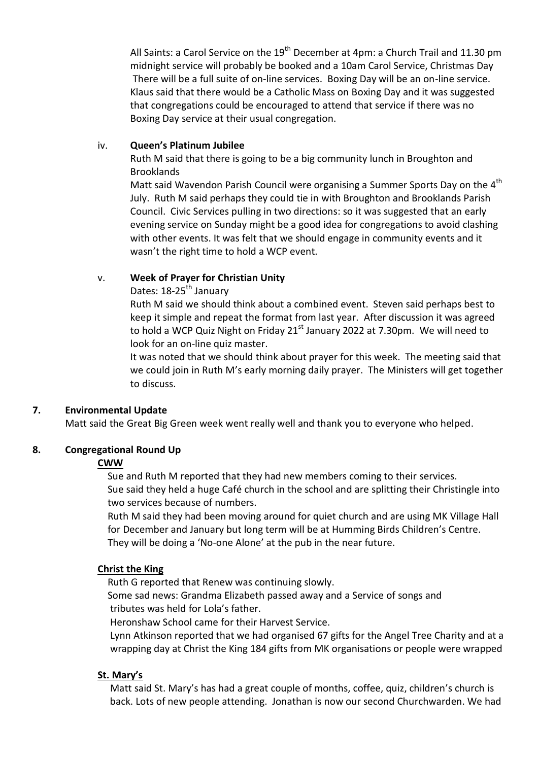All Saints: a Carol Service on the  $19<sup>th</sup>$  December at 4pm: a Church Trail and 11.30 pm midnight service will probably be booked and a 10am Carol Service, Christmas Day There will be a full suite of on-line services. Boxing Day will be an on-line service. Klaus said that there would be a Catholic Mass on Boxing Day and it was suggested that congregations could be encouraged to attend that service if there was no Boxing Day service at their usual congregation.

#### iv. **Queen's Platinum Jubilee**

Ruth M said that there is going to be a big community lunch in Broughton and Brooklands

Matt said Wavendon Parish Council were organising a Summer Sports Day on the 4<sup>th</sup> July. Ruth M said perhaps they could tie in with Broughton and Brooklands Parish Council. Civic Services pulling in two directions: so it was suggested that an early evening service on Sunday might be a good idea for congregations to avoid clashing with other events. It was felt that we should engage in community events and it wasn't the right time to hold a WCP event.

# v. **Week of Prayer for Christian Unity**

Dates: 18-25<sup>th</sup> January

Ruth M said we should think about a combined event. Steven said perhaps best to keep it simple and repeat the format from last year. After discussion it was agreed to hold a WCP Quiz Night on Friday  $21<sup>st</sup>$  January 2022 at 7.30pm. We will need to look for an on-line quiz master.

It was noted that we should think about prayer for this week. The meeting said that we could join in Ruth M's early morning daily prayer. The Ministers will get together to discuss.

# **7. Environmental Update**

Matt said the Great Big Green week went really well and thank you to everyone who helped.

# **8. Congregational Round Up**

# **CWW**

Sue and Ruth M reported that they had new members coming to their services.

 Sue said they held a huge Café church in the school and are splitting their Christingle into two services because of numbers.

 Ruth M said they had been moving around for quiet church and are using MK Village Hall for December and January but long term will be at Humming Birds Children's Centre. They will be doing a 'No-one Alone' at the pub in the near future.

# **Christ the King**

Ruth G reported that Renew was continuing slowly.

 Some sad news: Grandma Elizabeth passed away and a Service of songs and tributes was held for Lola's father.

Heronshaw School came for their Harvest Service.

 Lynn Atkinson reported that we had organised 67 gifts for the Angel Tree Charity and at a wrapping day at Christ the King 184 gifts from MK organisations or people were wrapped

# **St. Mary's**

 Matt said St. Mary's has had a great couple of months, coffee, quiz, children's church is back. Lots of new people attending. Jonathan is now our second Churchwarden. We had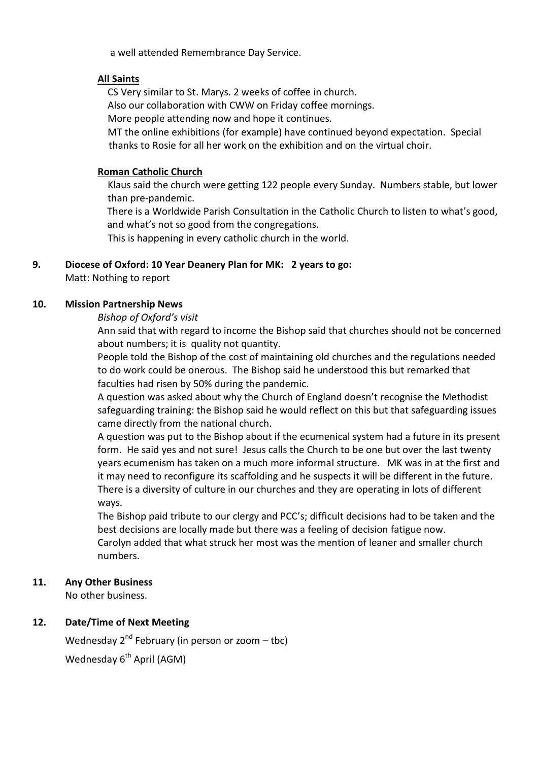a well attended Remembrance Day Service.

#### **All Saints**

CS Very similar to St. Marys. 2 weeks of coffee in church.

Also our collaboration with CWW on Friday coffee mornings.

More people attending now and hope it continues.

 MT the online exhibitions (for example) have continued beyond expectation. Special thanks to Rosie for all her work on the exhibition and on the virtual choir.

#### **Roman Catholic Church**

 Klaus said the church were getting 122 people every Sunday. Numbers stable, but lower than pre-pandemic.

There is a Worldwide Parish Consultation in the Catholic Church to listen to what's good, and what's not so good from the congregations.

This is happening in every catholic church in the world.

# **9. Diocese of Oxford: 10 Year Deanery Plan for MK: 2 years to go:**

Matt: Nothing to report

#### **10. Mission Partnership News**

#### *Bishop of Oxford's visit*

Ann said that with regard to income the Bishop said that churches should not be concerned about numbers; it is quality not quantity.

People told the Bishop of the cost of maintaining old churches and the regulations needed to do work could be onerous. The Bishop said he understood this but remarked that faculties had risen by 50% during the pandemic.

A question was asked about why the Church of England doesn't recognise the Methodist safeguarding training: the Bishop said he would reflect on this but that safeguarding issues came directly from the national church.

A question was put to the Bishop about if the ecumenical system had a future in its present form. He said yes and not sure! Jesus calls the Church to be one but over the last twenty years ecumenism has taken on a much more informal structure. MK was in at the first and it may need to reconfigure its scaffolding and he suspects it will be different in the future. There is a diversity of culture in our churches and they are operating in lots of different ways.

The Bishop paid tribute to our clergy and PCC's; difficult decisions had to be taken and the best decisions are locally made but there was a feeling of decision fatigue now. Carolyn added that what struck her most was the mention of leaner and smaller church numbers.

# **11. Any Other Business**

No other business.

# **12. Date/Time of Next Meeting**

Wednesday  $2^{nd}$  February (in person or zoom – tbc) Wednesday  $6<sup>th</sup>$  April (AGM)